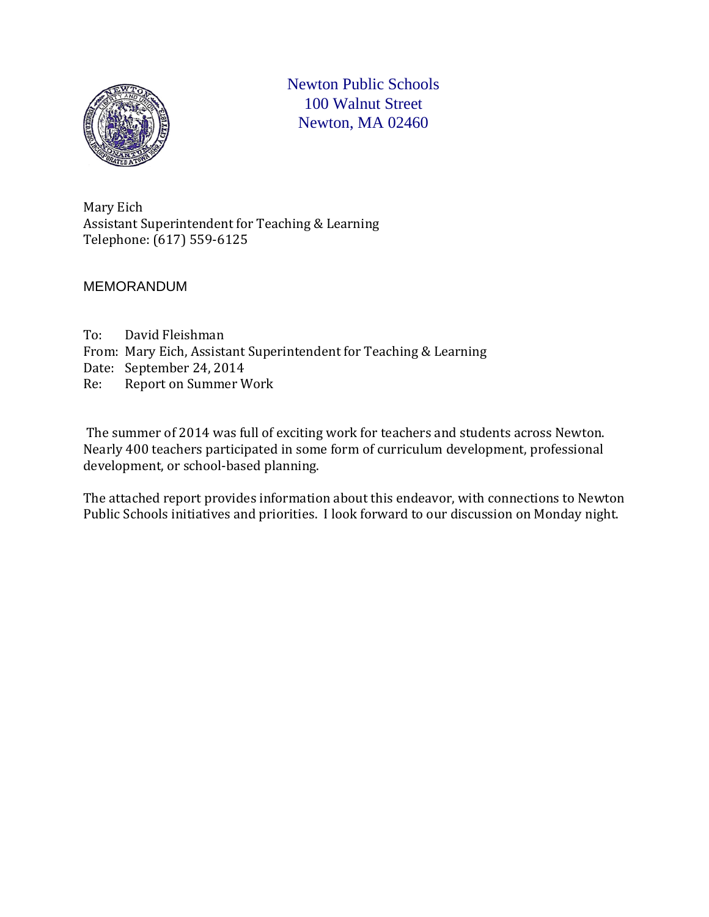

Newton Public Schools 100 Walnut Street Newton, MA 02460

Mary Eich Assistant Superintendent for Teaching & Learning Telephone: (617) 559-6125

#### MEMORANDUM

To: David Fleishman From: Mary Eich, Assistant Superintendent for Teaching & Learning Date: September 24, 2014<br>Re: Report on Summer V Report on Summer Work

The summer of 2014 was full of exciting work for teachers and students across Newton. Nearly 400 teachers participated in some form of curriculum development, professional development, or school-based planning.

The attached report provides information about this endeavor, with connections to Newton Public Schools initiatives and priorities. I look forward to our discussion on Monday night.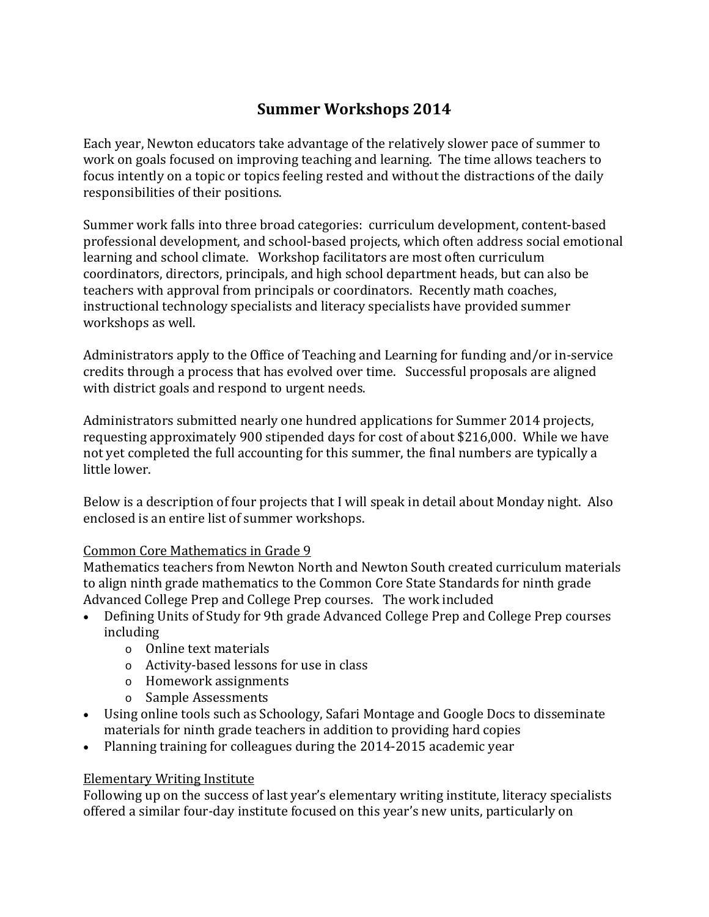# **Summer Workshops 2014**

Each year, Newton educators take advantage of the relatively slower pace of summer to work on goals focused on improving teaching and learning. The time allows teachers to focus intently on a topic or topics feeling rested and without the distractions of the daily responsibilities of their positions.

Summer work falls into three broad categories: curriculum development, content-based professional development, and school-based projects, which often address social emotional learning and school climate. Workshop facilitators are most often curriculum coordinators, directors, principals, and high school department heads, but can also be teachers with approval from principals or coordinators. Recently math coaches, instructional technology specialists and literacy specialists have provided summer workshops as well.

Administrators apply to the Office of Teaching and Learning for funding and/or in-service credits through a process that has evolved over time. Successful proposals are aligned with district goals and respond to urgent needs.

Administrators submitted nearly one hundred applications for Summer 2014 projects, requesting approximately 900 stipended days for cost of about \$216,000. While we have not yet completed the full accounting for this summer, the final numbers are typically a little lower.

Below is a description of four projects that I will speak in detail about Monday night. Also enclosed is an entire list of summer workshops.

## Common Core Mathematics in Grade 9

Mathematics teachers from Newton North and Newton South created curriculum materials to align ninth grade mathematics to the Common Core State Standards for ninth grade Advanced College Prep and College Prep courses. The work included

- Defining Units of Study for 9th grade Advanced College Prep and College Prep courses including
	- o Online text materials
	- o Activity-based lessons for use in class
	- o Homework assignments
	- o Sample Assessments
- Using online tools such as Schoology, Safari Montage and Google Docs to disseminate materials for ninth grade teachers in addition to providing hard copies
- Planning training for colleagues during the 2014-2015 academic year

## Elementary Writing Institute

Following up on the success of last year's elementary writing institute, literacy specialists offered a similar four-day institute focused on this year's new units, particularly on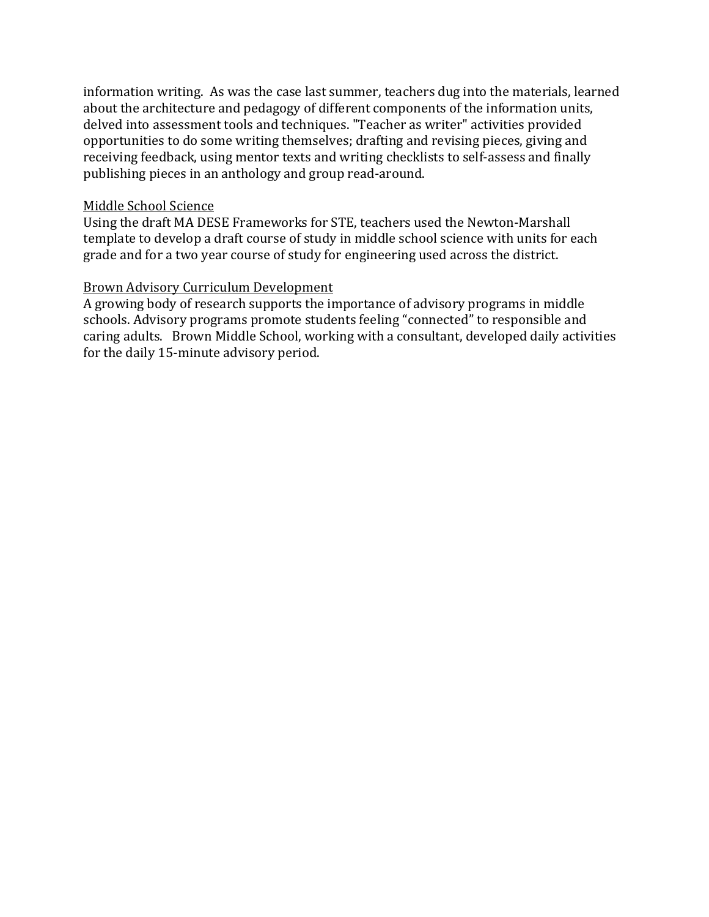information writing. As was the case last summer, teachers dug into the materials, learned about the architecture and pedagogy of different components of the information units, delved into assessment tools and techniques. "Teacher as writer" activities provided opportunities to do some writing themselves; drafting and revising pieces, giving and receiving feedback, using mentor texts and writing checklists to self-assess and finally publishing pieces in an anthology and group read-around.

#### Middle School Science

Using the draft MA DESE Frameworks for STE, teachers used the Newton-Marshall template to develop a draft course of study in middle school science with units for each grade and for a two year course of study for engineering used across the district.

## Brown Advisory Curriculum Development

A growing body of research supports the importance of advisory programs in middle schools. Advisory programs promote students feeling "connected" to responsible and caring adults. Brown Middle School, working with a consultant, developed daily activities for the daily 15-minute advisory period.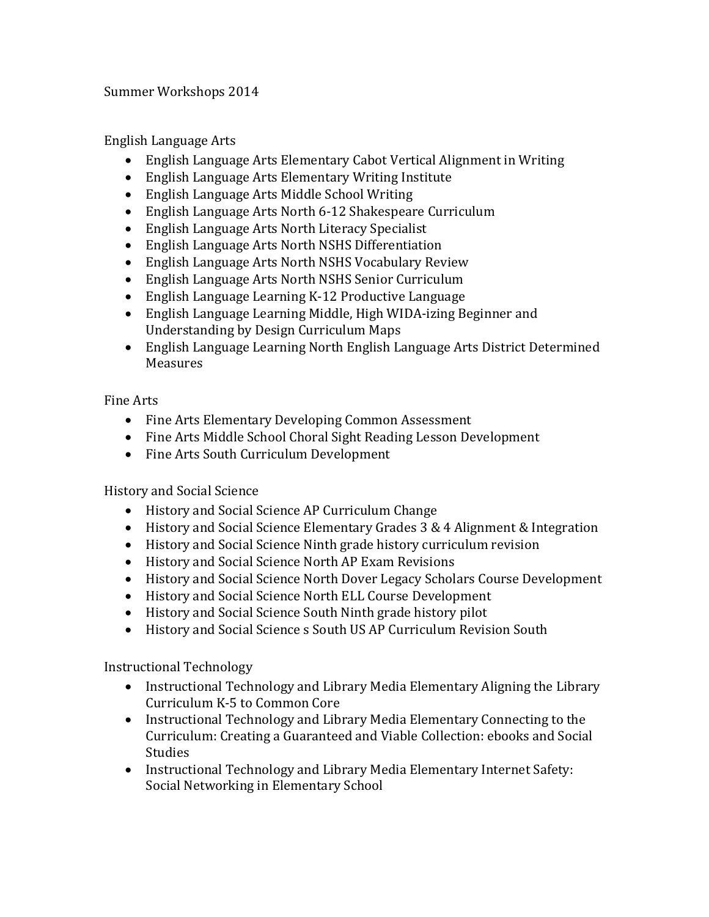Summer Workshops 2014

English Language Arts

- English Language Arts Elementary Cabot Vertical Alignment in Writing
- English Language Arts Elementary Writing Institute
- English Language Arts Middle School Writing
- English Language Arts North 6-12 Shakespeare Curriculum
- English Language Arts North Literacy Specialist
- English Language Arts North NSHS Differentiation
- English Language Arts North NSHS Vocabulary Review
- English Language Arts North NSHS Senior Curriculum
- English Language Learning K-12 Productive Language
- English Language Learning Middle, High WIDA-izing Beginner and Understanding by Design Curriculum Maps
- English Language Learning North English Language Arts District Determined Measures

Fine Arts

- Fine Arts Elementary Developing Common Assessment
- Fine Arts Middle School Choral Sight Reading Lesson Development
- Fine Arts South Curriculum Development

History and Social Science

- History and Social Science AP Curriculum Change
- History and Social Science Elementary Grades 3 & 4 Alignment & Integration
- History and Social Science Ninth grade history curriculum revision
- History and Social Science North AP Exam Revisions
- History and Social Science North Dover Legacy Scholars Course Development
- History and Social Science North ELL Course Development
- History and Social Science South Ninth grade history pilot
- History and Social Science s South US AP Curriculum Revision South

Instructional Technology

- Instructional Technology and Library Media Elementary Aligning the Library Curriculum K-5 to Common Core
- Instructional Technology and Library Media Elementary Connecting to the Curriculum: Creating a Guaranteed and Viable Collection: ebooks and Social Studies
- Instructional Technology and Library Media Elementary Internet Safety: Social Networking in Elementary School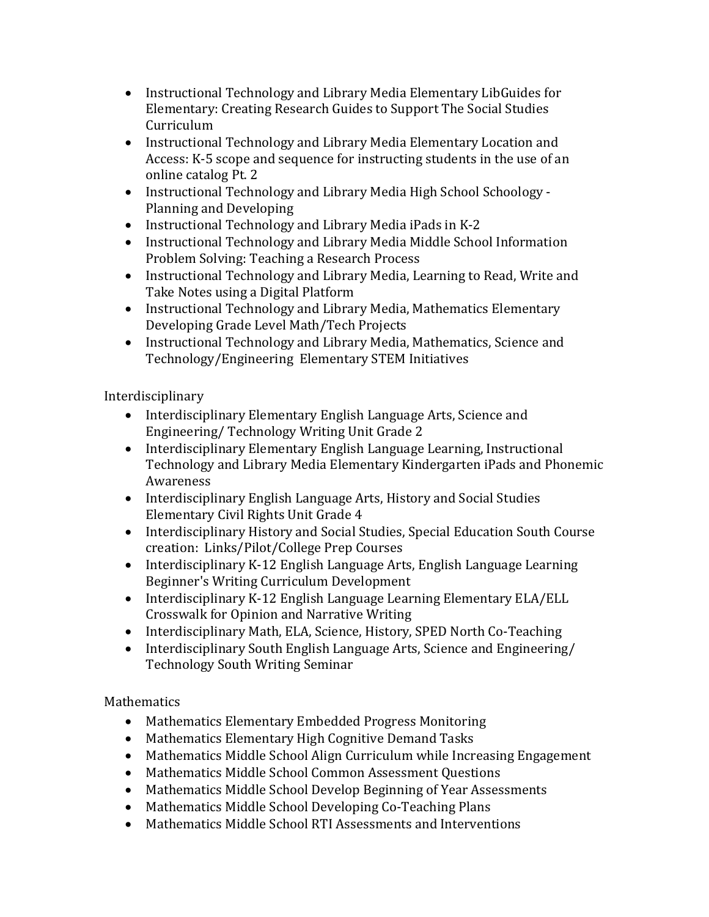- Instructional Technology and Library Media Elementary LibGuides for Elementary: Creating Research Guides to Support The Social Studies Curriculum
- Instructional Technology and Library Media Elementary Location and Access: K-5 scope and sequence for instructing students in the use of an online catalog Pt. 2
- Instructional Technology and Library Media High School Schoology -Planning and Developing
- Instructional Technology and Library Media iPads in K-2
- Instructional Technology and Library Media Middle School Information Problem Solving: Teaching a Research Process
- Instructional Technology and Library Media, Learning to Read, Write and Take Notes using a Digital Platform
- Instructional Technology and Library Media, Mathematics Elementary Developing Grade Level Math/Tech Projects
- Instructional Technology and Library Media, Mathematics, Science and Technology/Engineering Elementary STEM Initiatives

Interdisciplinary

- Interdisciplinary Elementary English Language Arts, Science and Engineering/ Technology Writing Unit Grade 2
- Interdisciplinary Elementary English Language Learning, Instructional Technology and Library Media Elementary Kindergarten iPads and Phonemic Awareness
- Interdisciplinary English Language Arts, History and Social Studies Elementary Civil Rights Unit Grade 4
- Interdisciplinary History and Social Studies, Special Education South Course creation: Links/Pilot/College Prep Courses
- Interdisciplinary K-12 English Language Arts, English Language Learning Beginner's Writing Curriculum Development
- Interdisciplinary K-12 English Language Learning Elementary ELA/ELL Crosswalk for Opinion and Narrative Writing
- Interdisciplinary Math, ELA, Science, History, SPED North Co-Teaching
- Interdisciplinary South English Language Arts, Science and Engineering/ Technology South Writing Seminar

Mathematics

- Mathematics Elementary Embedded Progress Monitoring
- Mathematics Elementary High Cognitive Demand Tasks
- Mathematics Middle School Align Curriculum while Increasing Engagement
- Mathematics Middle School Common Assessment Questions
- Mathematics Middle School Develop Beginning of Year Assessments
- Mathematics Middle School Developing Co-Teaching Plans
- Mathematics Middle School RTI Assessments and Interventions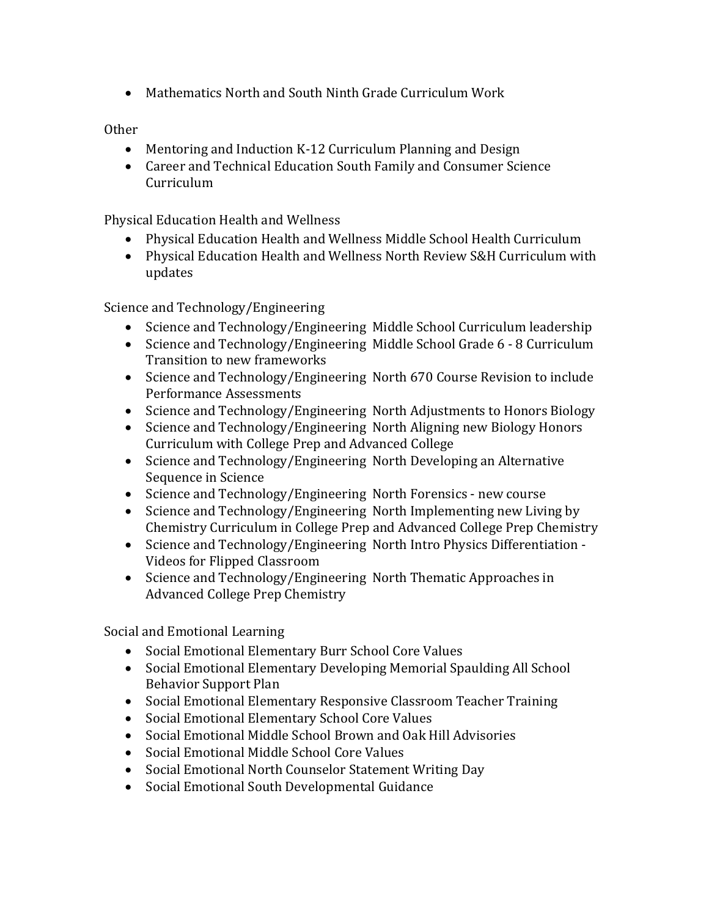• Mathematics North and South Ninth Grade Curriculum Work

Other

- Mentoring and Induction K-12 Curriculum Planning and Design
- Career and Technical Education South Family and Consumer Science Curriculum

Physical Education Health and Wellness

- Physical Education Health and Wellness Middle School Health Curriculum
- Physical Education Health and Wellness North Review S&H Curriculum with updates

Science and Technology/Engineering

- Science and Technology/Engineering Middle School Curriculum leadership
- Science and Technology/Engineering Middle School Grade 6 8 Curriculum Transition to new frameworks
- Science and Technology/Engineering North 670 Course Revision to include Performance Assessments
- Science and Technology/Engineering North Adjustments to Honors Biology
- Science and Technology/Engineering North Aligning new Biology Honors Curriculum with College Prep and Advanced College
- Science and Technology/Engineering North Developing an Alternative Sequence in Science
- Science and Technology/Engineering North Forensics new course
- Science and Technology/Engineering North Implementing new Living by Chemistry Curriculum in College Prep and Advanced College Prep Chemistry
- Science and Technology/Engineering North Intro Physics Differentiation Videos for Flipped Classroom
- Science and Technology/Engineering North Thematic Approaches in Advanced College Prep Chemistry

Social and Emotional Learning

- Social Emotional Elementary Burr School Core Values
- Social Emotional Elementary Developing Memorial Spaulding All School Behavior Support Plan
- Social Emotional Elementary Responsive Classroom Teacher Training
- Social Emotional Elementary School Core Values
- Social Emotional Middle School Brown and Oak Hill Advisories
- Social Emotional Middle School Core Values
- Social Emotional North Counselor Statement Writing Day
- Social Emotional South Developmental Guidance